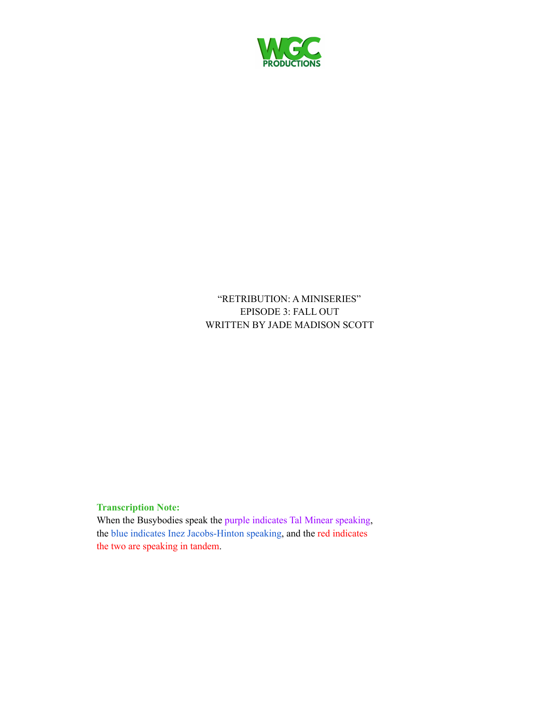

"RETRIBUTION: A MINISERIES" EPISODE 3: FALL OUT WRITTEN BY JADE MADISON SCOTT

# **Transcription Note:**

When the Busybodies speak the purple indicates Tal Minear speaking, the blue indicates Inez Jacobs-Hinton speaking, and the red indicates the two are speaking in tandem.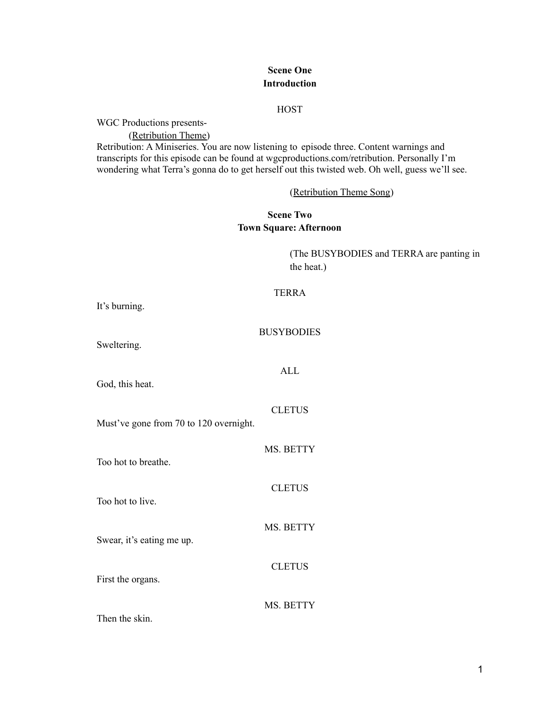# **Scene One Introduction**

#### **HOST**

WGC Productions presents-

(Retribution Theme) Retribution: A Miniseries. You are now listening to episode three. Content warnings and transcripts for this episode can be found at wgcproductions.com/retribution. Personally I'm wondering what Terra's gonna do to get herself out this twisted web. Oh well, guess we'll see.

(Retribution Theme Song)

# **Scene Two Town Square: Afternoon**

(The BUSYBODIES and TERRA are panting in the heat.)

#### TERRA

It's burning.

#### **BUSYBODIES**

ALL

Sweltering.

God, this heat.

CLETUS

MS. BETTY

**CLETUS** 

MS. BETTY

**CLETUS** 

Must've gone from 70 to 120 overnight.

Too hot to breathe.

Too hot to live.

Swear, it's eating me up.

First the organs.

MS. BETTY

Then the skin.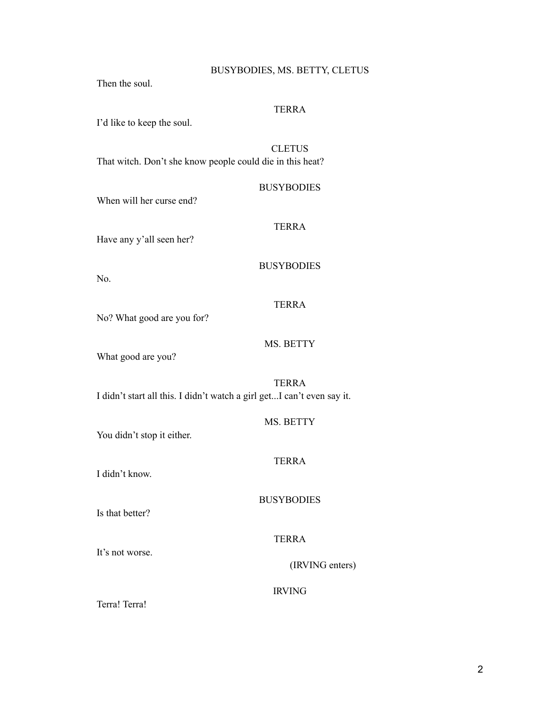# BUSYBODIES, MS. BETTY, CLETUS

Then the soul.

# TERRA

I'd like to keep the soul.

**CLETUS** 

That witch. Don't she know people could die in this heat?

#### **BUSYBODIES**

When will her curse end?

# TERRA

Have any y'all seen her?

#### BUSYBODIES

No.

# TERRA

No? What good are you for?

#### MS. BETTY

What good are you?

# TERRA

I didn't start all this. I didn't watch a girl get...I can't even say it.

You didn't stop it either.

# TERRA

I didn't know.

BUSYBODIES

Is that better?

It's not worse.

TERRA

(IRVING enters)

IRVING

Terra! Terra!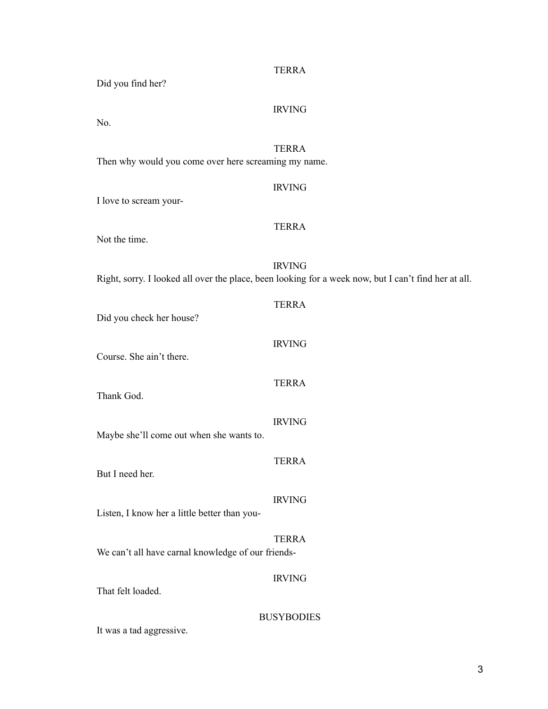| Did you find her?                                    | <b>TERRA</b>                                                                                                          |
|------------------------------------------------------|-----------------------------------------------------------------------------------------------------------------------|
|                                                      | <b>IRVING</b>                                                                                                         |
| No.                                                  |                                                                                                                       |
| Then why would you come over here screaming my name. | <b>TERRA</b>                                                                                                          |
| I love to scream your-                               | <b>IRVING</b>                                                                                                         |
|                                                      | <b>TERRA</b>                                                                                                          |
| Not the time.                                        |                                                                                                                       |
|                                                      | <b>IRVING</b><br>Right, sorry. I looked all over the place, been looking for a week now, but I can't find her at all. |
| Did you check her house?                             | <b>TERRA</b>                                                                                                          |
| Course. She ain't there.                             | <b>IRVING</b>                                                                                                         |
| Thank God.                                           | <b>TERRA</b>                                                                                                          |
| Maybe she'll come out when she wants to.             | <b>IRVING</b>                                                                                                         |
| But I need her.                                      | <b>TERRA</b>                                                                                                          |
| Listen, I know her a little better than you-         | <b>IRVING</b>                                                                                                         |
| We can't all have carnal knowledge of our friends-   | <b>TERRA</b>                                                                                                          |
| That felt loaded.                                    | <b>IRVING</b>                                                                                                         |
| It was a tad aggressive.                             | <b>BUSYBODIES</b>                                                                                                     |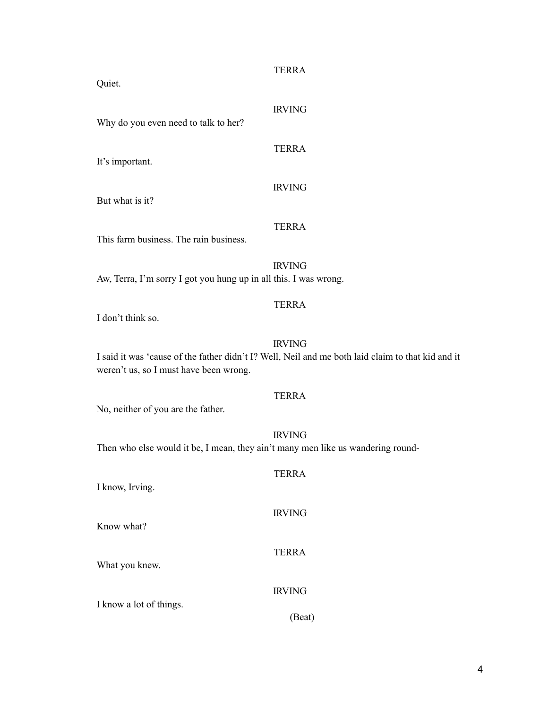| Quiet.                                                                          | <b>TERRA</b>                                                                                                       |
|---------------------------------------------------------------------------------|--------------------------------------------------------------------------------------------------------------------|
| Why do you even need to talk to her?                                            | <b>IRVING</b>                                                                                                      |
| It's important.                                                                 | <b>TERRA</b>                                                                                                       |
| But what is it?                                                                 | <b>IRVING</b>                                                                                                      |
| This farm business. The rain business.                                          | <b>TERRA</b>                                                                                                       |
| Aw, Terra, I'm sorry I got you hung up in all this. I was wrong.                | <b>IRVING</b>                                                                                                      |
| I don't think so.                                                               | <b>TERRA</b>                                                                                                       |
| weren't us, so I must have been wrong.                                          | <b>IRVING</b><br>I said it was 'cause of the father didn't I? Well, Neil and me both laid claim to that kid and it |
| No, neither of you are the father.                                              | <b>TERRA</b>                                                                                                       |
| Then who else would it be, I mean, they ain't many men like us wandering round- | <b>IRVING</b>                                                                                                      |
| I know, Irving.                                                                 | <b>TERRA</b>                                                                                                       |
| Know what?                                                                      | <b>IRVING</b>                                                                                                      |
| What you knew.                                                                  | <b>TERRA</b>                                                                                                       |
| I know a lot of things.                                                         | <b>IRVING</b>                                                                                                      |
|                                                                                 | (Beat)                                                                                                             |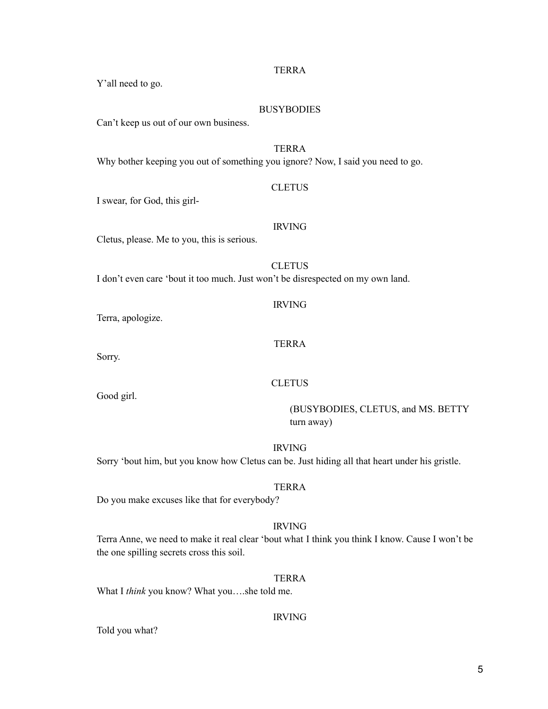Can't keep us out of our own business.

#### TERRA

TERRA

**BUSYBODIES** 

Why bother keeping you out of something you ignore? Now, I said you need to go.

#### **CLETUS**

I swear, for God, this girl-

Y'all need to go.

# IRVING

Cletus, please. Me to you, this is serious.

**CLETUS** I don't even care 'bout it too much. Just won't be disrespected on my own land.

Terra, apologize.

#### TERRA

IRVING

Sorry.

Good girl.

# **CLETUS**

(BUSYBODIES, CLETUS, and MS. BETTY turn away)

IRVING

Sorry 'bout him, but you know how Cletus can be. Just hiding all that heart under his gristle.

# TERRA

Do you make excuses like that for everybody?

#### IRVING

Terra Anne, we need to make it real clear 'bout what I think you think I know. Cause I won't be the one spilling secrets cross this soil.

# TERRA

What I *think* you know? What you….she told me.

#### IRVING

Told you what?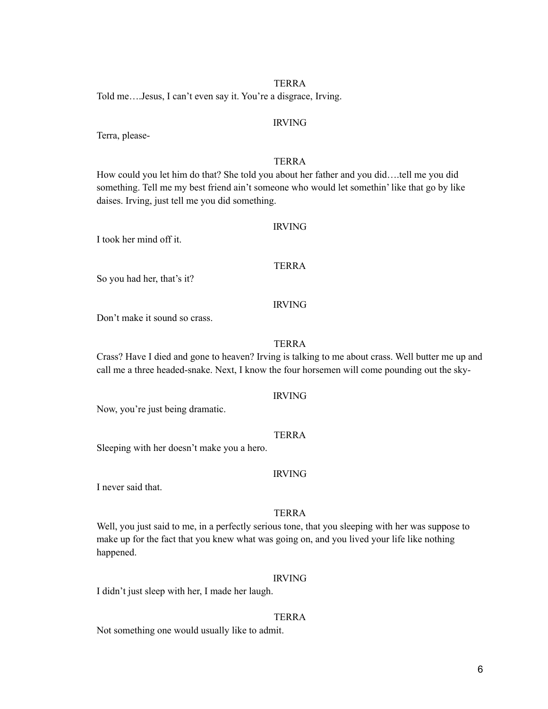Told me….Jesus, I can't even say it. You're a disgrace, Irving.

#### IRVING

Terra, please-

#### TERRA

How could you let him do that? She told you about her father and you did….tell me you did something. Tell me my best friend ain't someone who would let somethin' like that go by like daises. Irving, just tell me you did something.

#### IRVING

I took her mind off it.

#### TERRA

So you had her, that's it?

#### IRVING

Don't make it sound so crass.

#### TERRA

Crass? Have I died and gone to heaven? Irving is talking to me about crass. Well butter me up and call me a three headed-snake. Next, I know the four horsemen will come pounding out the sky-

#### IRVING

Now, you're just being dramatic.

#### **TERRA**

Sleeping with her doesn't make you a hero.

#### IRVING

I never said that.

#### TERRA

Well, you just said to me, in a perfectly serious tone, that you sleeping with her was suppose to make up for the fact that you knew what was going on, and you lived your life like nothing happened.

#### IRVING

I didn't just sleep with her, I made her laugh.

#### TERRA

Not something one would usually like to admit.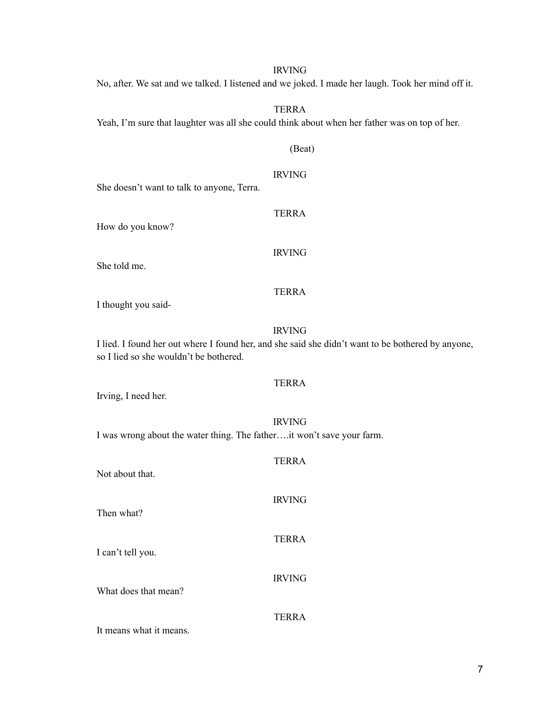No, after. We sat and we talked. I listened and we joked. I made her laugh. Took her mind off it.

# TERRA

Yeah, I'm sure that laughter was all she could think about when her father was on top of her.

# (Beat)

# IRVING

TERRA

She doesn't want to talk to anyone, Terra.

How do you know?

IRVING

She told me.

# TERRA

I thought you said-

#### IRVING

I lied. I found her out where I found her, and she said she didn't want to be bothered by anyone, so I lied so she wouldn't be bothered.

#### TERRA

Irving, I need her.

# IRVING I was wrong about the water thing. The father….it won't save your farm.

| Not about that.      | <b>TERRA</b>  |
|----------------------|---------------|
| Then what?           | <b>IRVING</b> |
| I can't tell you.    | <b>TERRA</b>  |
| What does that mean? | <b>IRVING</b> |
|                      | <b>TERRA</b>  |

It means what it means.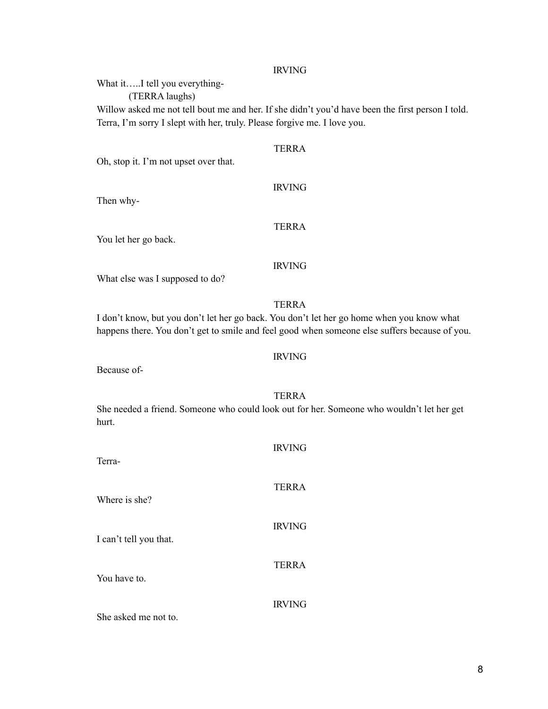What it…..I tell you everything-

(TERRA laughs)

Willow asked me not tell bout me and her. If she didn't you'd have been the first person I told. Terra, I'm sorry I slept with her, truly. Please forgive me. I love you.

TERRA

Oh, stop it. I'm not upset over that.

IRVING

Then why-

# TERRA

You let her go back.

# IRVING

What else was I supposed to do?

TERRA

I don't know, but you don't let her go back. You don't let her go home when you know what happens there. You don't get to smile and feel good when someone else suffers because of you.

# IRVING

Because of-

#### TERRA

She needed a friend. Someone who could look out for her. Someone who wouldn't let her get hurt.

| Terra-                 | <b>IRVING</b> |
|------------------------|---------------|
| Where is she?          | <b>TERRA</b>  |
| I can't tell you that. | <b>IRVING</b> |
| You have to.           | <b>TERRA</b>  |
| She asked me not to.   | <b>IRVING</b> |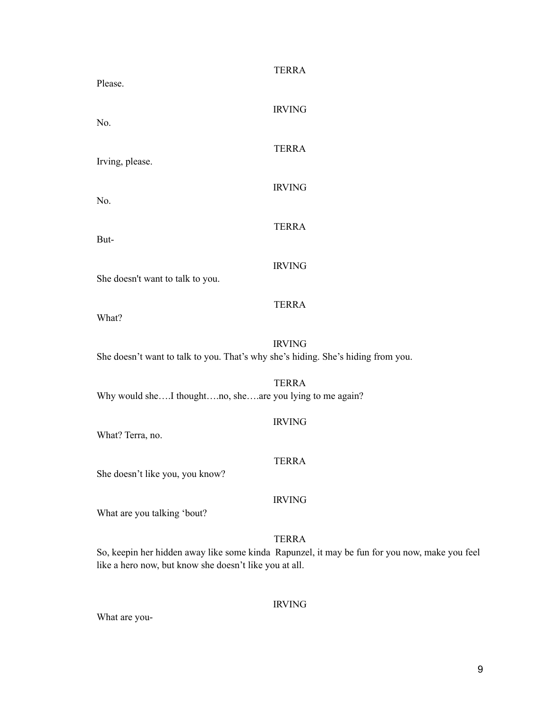| Please.                                                                          | <b>TERRA</b>                                                                                                  |
|----------------------------------------------------------------------------------|---------------------------------------------------------------------------------------------------------------|
| No.                                                                              | <b>IRVING</b>                                                                                                 |
| Irving, please.                                                                  | <b>TERRA</b>                                                                                                  |
| No.                                                                              | <b>IRVING</b>                                                                                                 |
| But-                                                                             | <b>TERRA</b>                                                                                                  |
|                                                                                  | <b>IRVING</b>                                                                                                 |
| She doesn't want to talk to you.                                                 | <b>TERRA</b>                                                                                                  |
| What?                                                                            | <b>IRVING</b>                                                                                                 |
| She doesn't want to talk to you. That's why she's hiding. She's hiding from you. |                                                                                                               |
| Why would sheI thoughtno, sheare you lying to me again?                          | <b>TERRA</b>                                                                                                  |
| What? Terra, no.                                                                 | <b>IRVING</b>                                                                                                 |
| She doesn't like you, you know?                                                  | <b>TERRA</b>                                                                                                  |
| What are you talking 'bout?                                                      | <b>IRVING</b>                                                                                                 |
| like a hero now, but know she doesn't like you at all.                           | <b>TERRA</b><br>So, keepin her hidden away like some kinda Rapunzel, it may be fun for you now, make you feel |

What are you-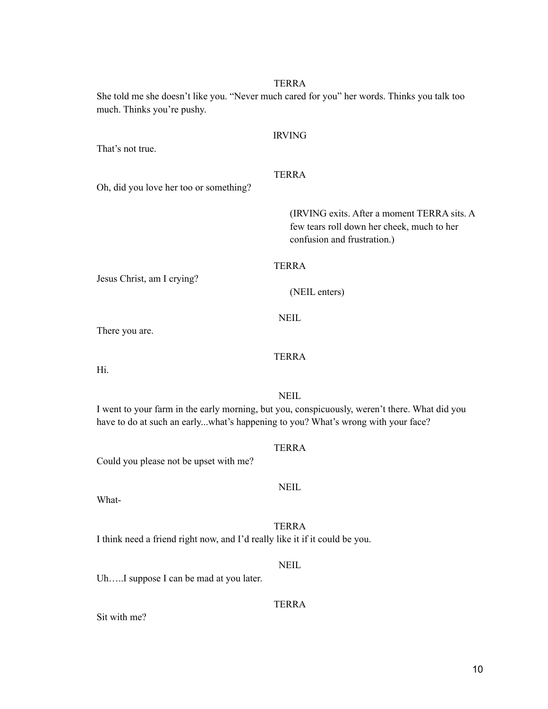She told me she doesn't like you. "Never much cared for you" her words. Thinks you talk too much. Thinks you're pushy.

That's not true.

IRVING

TERRA

Oh, did you love her too or something?

(IRVING exits. After a moment TERRA sits. A few tears roll down her cheek, much to her confusion and frustration.)

# TERRA

Jesus Christ, am I crying?

(NEIL enters)

**NEIL** 

There you are.

# **TERRA**

Hi.

NEIL

I went to your farm in the early morning, but you, conspicuously, weren't there. What did you have to do at such an early...what's happening to you? What's wrong with your face?

TERRA

NEIL

Could you please not be upset with me?

What-

TERRA I think need a friend right now, and I'd really like it if it could be you.

NEIL Uh.....I suppose I can be mad at you later.

TERRA

Sit with me?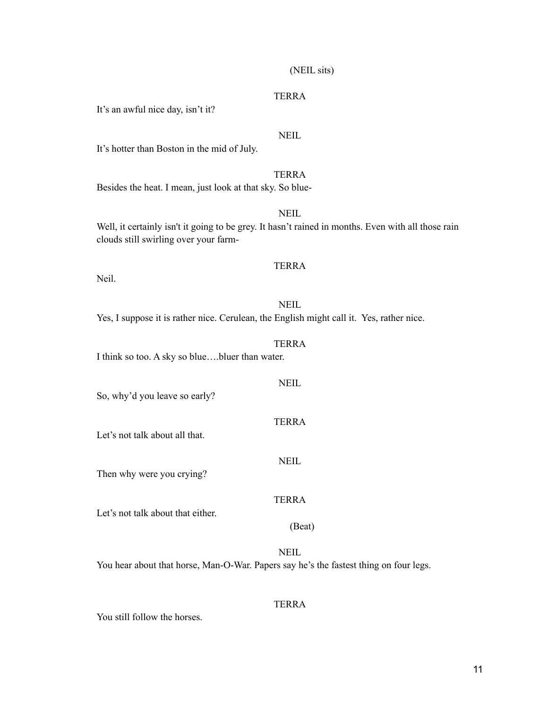# (NEIL sits)

#### **TERRA**

It's an awful nice day, isn't it?

# NEIL

It's hotter than Boston in the mid of July.

TERRA Besides the heat. I mean, just look at that sky. So blue-

Well, it certainly isn't it going to be grey. It hasn't rained in months. Even with all those rain clouds still swirling over your farm-

# TERRA

NEIL

Neil.

**NEIL** Yes, I suppose it is rather nice. Cerulean, the English might call it. Yes, rather nice.

#### TERRA

I think so too. A sky so blue….bluer than water.

**NEIL** So, why'd you leave so early? TERRA Let's not talk about all that. NEIL Then why were you crying? TERRA

Let's not talk about that either.

# **NEIL**

(Beat)

You hear about that horse, Man-O-War. Papers say he's the fastest thing on four legs.

#### TERRA

You still follow the horses.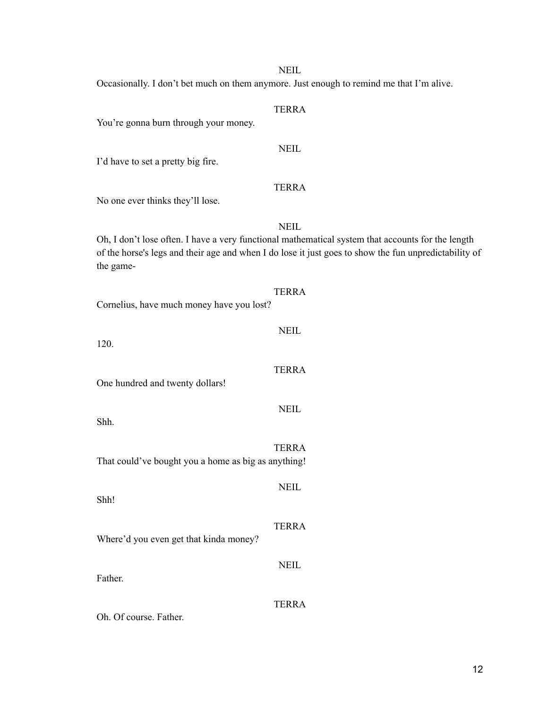#### NEIL

Occasionally. I don't bet much on them anymore. Just enough to remind me that I'm alive.

# TERRA You're gonna burn through your money. NEIL I'd have to set a pretty big fire. TERRA No one ever thinks they'll lose. NEIL Oh, I don't lose often. I have a very functional mathematical system that accounts for the length of the horse's legs and their age and when I do lose it just goes to show the fun unpredictability of the game-TERRA Cornelius, have much money have you lost? NEIL 120. TERRA One hundred and twenty dollars! NEIL Shh. TERRA That could've bought you a home as big as anything! **NEIL** Shh! TERRA Where'd you even get that kinda money? NEIL Father. TERRA Oh. Of course. Father.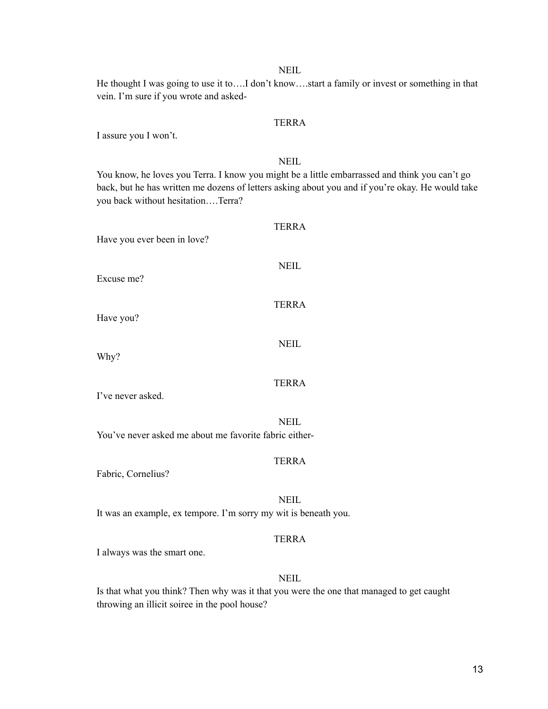#### NEIL

He thought I was going to use it to….I don't know….start a family or invest or something in that vein. I'm sure if you wrote and asked-

#### TERRA

I assure you I won't.

#### NEIL

You know, he loves you Terra. I know you might be a little embarrassed and think you can't go back, but he has written me dozens of letters asking about you and if you're okay. He would take you back without hesitation….Terra?

| Have you ever been in love?                                            |  |
|------------------------------------------------------------------------|--|
| <b>NEIL</b><br>Excuse me?                                              |  |
| <b>TERRA</b><br>Have you?                                              |  |
| <b>NEIL</b><br>Why?                                                    |  |
| <b>TERRA</b><br>I've never asked.                                      |  |
| <b>NEIL</b>                                                            |  |
| You've never asked me about me favorite fabric either-<br><b>TERRA</b> |  |

Fabric, Cornelius?

NEIL

It was an example, ex tempore. I'm sorry my wit is beneath you.

# TERRA

I always was the smart one.

### **NEIL**

Is that what you think? Then why was it that you were the one that managed to get caught throwing an illicit soiree in the pool house?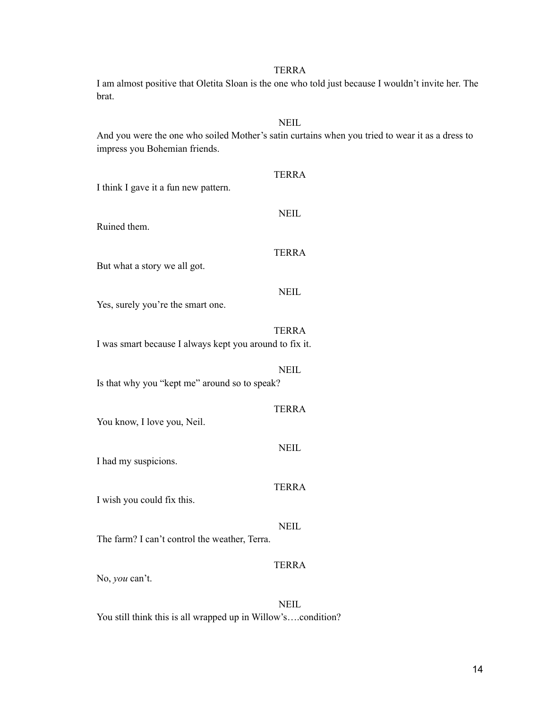I am almost positive that Oletita Sloan is the one who told just because I wouldn't invite her. The brat.

### **NEIL**

And you were the one who soiled Mother's satin curtains when you tried to wear it as a dress to impress you Bohemian friends.

| I think I gave it a fun new pattern.                    | <b>TERRA</b> |
|---------------------------------------------------------|--------------|
| Ruined them.                                            | <b>NEIL</b>  |
| But what a story we all got.                            | <b>TERRA</b> |
| Yes, surely you're the smart one.                       | <b>NEIL</b>  |
|                                                         | <b>TERRA</b> |
| I was smart because I always kept you around to fix it. | <b>NEIL</b>  |
| Is that why you "kept me" around so to speak?           |              |
| You know, I love you, Neil.                             | <b>TERRA</b> |
| I had my suspicions.                                    | <b>NEIL</b>  |
| I wish you could fix this.                              | <b>TERRA</b> |
| The farm? I can't control the weather, Terra.           | <b>NEIL</b>  |
| No, you can't.                                          | <b>TERRA</b> |
|                                                         | NEIL         |

You still think this is all wrapped up in Willow's….condition?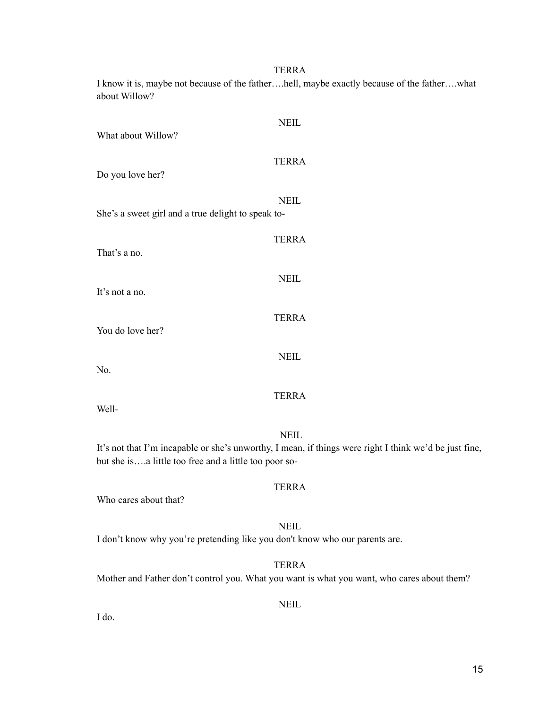I know it is, maybe not because of the father….hell, maybe exactly because of the father….what about Willow?

| What about Willow?                                                                                                                                                             | <b>NEIL</b>  |
|--------------------------------------------------------------------------------------------------------------------------------------------------------------------------------|--------------|
| Do you love her?                                                                                                                                                               | <b>TERRA</b> |
| She's a sweet girl and a true delight to speak to-                                                                                                                             | <b>NEIL</b>  |
| That's a no.                                                                                                                                                                   | <b>TERRA</b> |
| It's not a no.                                                                                                                                                                 | <b>NEIL</b>  |
| You do love her?                                                                                                                                                               | <b>TERRA</b> |
| No.                                                                                                                                                                            | <b>NEIL</b>  |
| Well-                                                                                                                                                                          | <b>TERRA</b> |
| <b>NEIL</b><br>It's not that I'm incapable or she's unworthy, I mean, if things were right I think we'd be just fine,<br>but she isa little too free and a little too poor so- |              |
| Who cares about that?                                                                                                                                                          | <b>TERRA</b> |
|                                                                                                                                                                                | <b>NEIL</b>  |
| I don't know why you're pretending like you don't know who our parents are.                                                                                                    |              |

Mother and Father don't control you. What you want is what you want, who cares about them?

NEIL

TERRA

I do.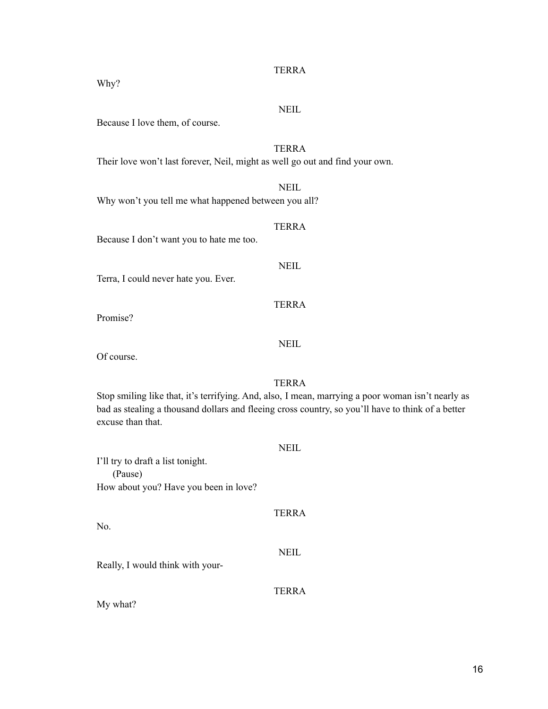# **NEIL**

Because I love them, of course.

# TERRA

NEIL

Their love won't last forever, Neil, might as well go out and find your own.

Why won't you tell me what happened between you all?

TERRA

NEIL

TERRA

Because I don't want you to hate me too.

Terra, I could never hate you. Ever.

Promise?

Why?

NEIL

Of course.

TERRA

Stop smiling like that, it's terrifying. And, also, I mean, marrying a poor woman isn't nearly as bad as stealing a thousand dollars and fleeing cross country, so you'll have to think of a better excuse than that.

|                                        | <b>NEIL</b>  |
|----------------------------------------|--------------|
| I'll try to draft a list tonight.      |              |
| (Pause)                                |              |
| How about you? Have you been in love?  |              |
|                                        | <b>TERRA</b> |
| No.                                    |              |
| Really, I would think with your-       | <b>NEIL</b>  |
| $\mathbf{1}$ $\mathbf{1}$ $\mathbf{0}$ | TERRA        |

My what?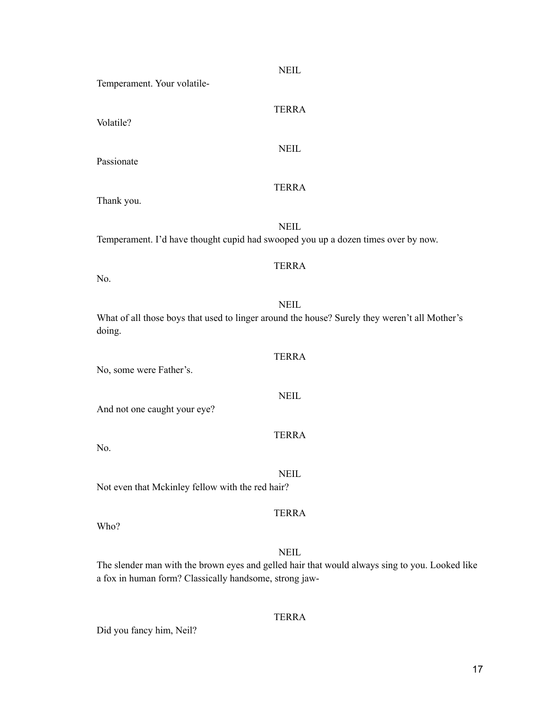| <b>NEIL</b><br>Temperament. Your volatile-                                                                                                                              |
|-------------------------------------------------------------------------------------------------------------------------------------------------------------------------|
| <b>TERRA</b><br>Volatile?                                                                                                                                               |
| <b>NEIL</b><br>Passionate                                                                                                                                               |
| <b>TERRA</b><br>Thank you.                                                                                                                                              |
| <b>NEIL</b><br>Temperament. I'd have thought cupid had swooped you up a dozen times over by now.                                                                        |
| <b>TERRA</b><br>No.                                                                                                                                                     |
| <b>NEIL</b><br>What of all those boys that used to linger around the house? Surely they weren't all Mother's<br>doing.                                                  |
| <b>TERRA</b><br>No, some were Father's.                                                                                                                                 |
| <b>NEIL</b><br>And not one caught your eye?                                                                                                                             |
| <b>TERRA</b><br>No.                                                                                                                                                     |
| <b>NEIL</b><br>Not even that Mckinley fellow with the red hair?                                                                                                         |
| <b>TERRA</b><br>Who?                                                                                                                                                    |
| <b>NEIL</b><br>The slender man with the brown eyes and gelled hair that would always sing to you. Looked like<br>a fox in human form? Classically handsome, strong jaw- |

Did you fancy him, Neil?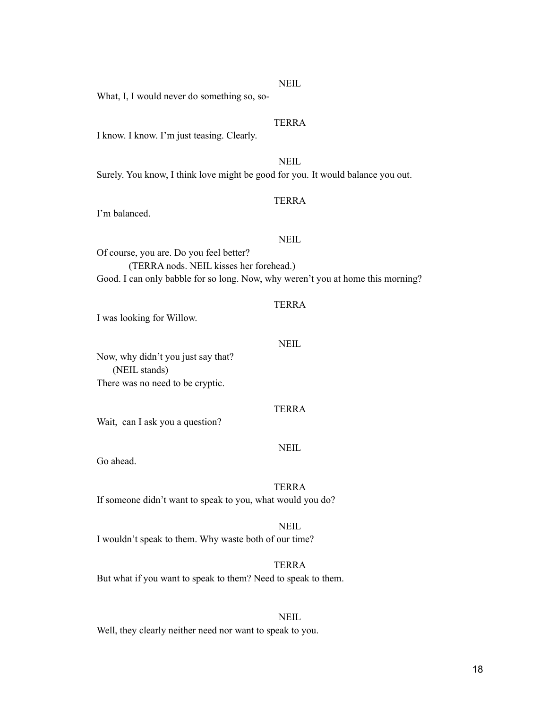#### **NEIL**

What, I, I would never do something so, so-

#### TERRA

I know. I know. I'm just teasing. Clearly.

NEIL Surely. You know, I think love might be good for you. It would balance you out.

#### TERRA

I'm balanced.

#### NEIL

Of course, you are. Do you feel better? (TERRA nods. NEIL kisses her forehead.) Good. I can only babble for so long. Now, why weren't you at home this morning?

#### TERRA

I was looking for Willow.

#### NEIL

Now, why didn't you just say that? (NEIL stands) There was no need to be cryptic.

#### TERRA

Wait, can I ask you a question?

#### NEIL

Go ahead.

#### TERRA

If someone didn't want to speak to you, what would you do?

# NEIL

I wouldn't speak to them. Why waste both of our time?

#### TERRA

But what if you want to speak to them? Need to speak to them.

# **NEIL**

Well, they clearly neither need nor want to speak to you.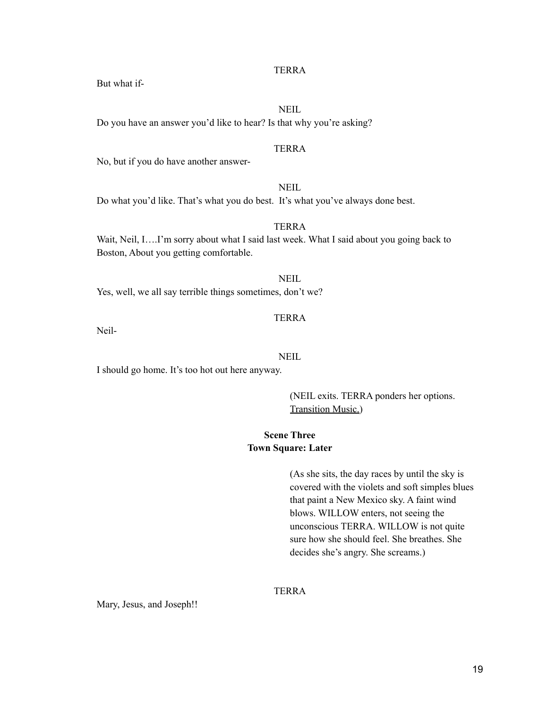**NEIL** 

But what if-

Do you have an answer you'd like to hear? Is that why you're asking?

# TERRA

No, but if you do have another answer-

# NEIL

Do what you'd like. That's what you do best. It's what you've always done best.

# TERRA

Wait, Neil, I….I'm sorry about what I said last week. What I said about you going back to Boston, About you getting comfortable.

NEIL Yes, well, we all say terrible things sometimes, don't we?

# TERRA

Neil-

#### NEIL

I should go home. It's too hot out here anyway.

(NEIL exits. TERRA ponders her options. Transition Music.)

# **Scene Three Town Square: Later**

(As she sits, the day races by until the sky is covered with the violets and soft simples blues that paint a New Mexico sky. A faint wind blows. WILLOW enters, not seeing the unconscious TERRA. WILLOW is not quite sure how she should feel. She breathes. She decides she's angry. She screams.)

# TERRA

Mary, Jesus, and Joseph!!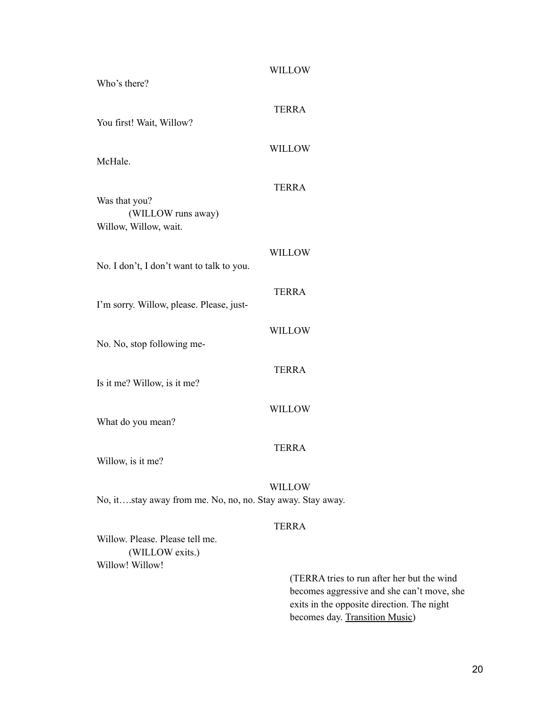| Who's there?                                                          | <b>WILLOW</b> |
|-----------------------------------------------------------------------|---------------|
| You first! Wait, Willow?                                              | <b>TERRA</b>  |
|                                                                       | <b>WILLOW</b> |
| McHale.                                                               | <b>TERRA</b>  |
| Was that you?<br>(WILLOW runs away)<br>Willow, Willow, wait.          |               |
|                                                                       | <b>WILLOW</b> |
| No. I don't, I don't want to talk to you.                             | <b>TERRA</b>  |
| I'm sorry. Willow, please. Please, just-                              |               |
| No. No, stop following me-                                            | <b>WILLOW</b> |
| Is it me? Willow, is it me?                                           | <b>TERRA</b>  |
| What do you mean?                                                     | <b>WILLOW</b> |
| Willow, is it me?                                                     | <b>TERRA</b>  |
| No, itstay away from me. No, no, no. Stay away. Stay away.            | <b>WILLOW</b> |
|                                                                       | <b>TERRA</b>  |
| Willow. Please. Please tell me.<br>(WILLOW exits.)<br>Willow! Willow! |               |

(TERRA tries to run after her but the wind becomes aggressive and she can't move, she exits in the opposite direction. The night becomes day. Transition Music)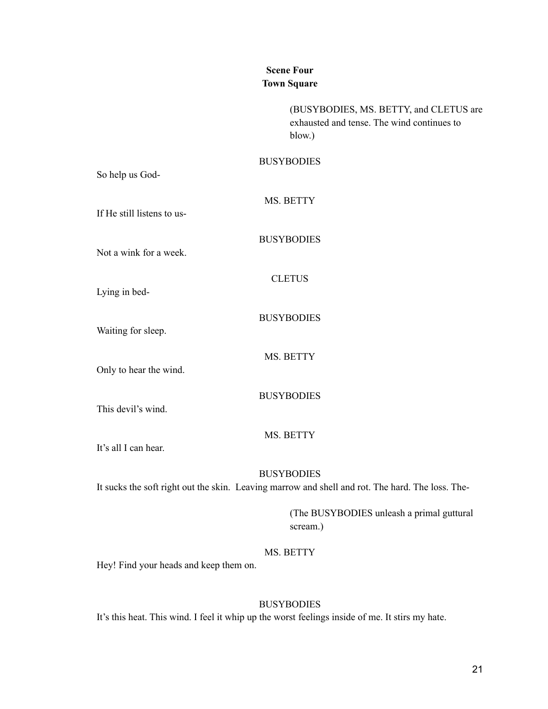# **Scene Four Town Square**

(BUSYBODIES, MS. BETTY, and CLETUS are exhausted and tense. The wind continues to blow.)

#### **BUSYBODIES**

So help us God-

MS. BETTY

If He still listens to us-

Not a wink for a week.

BUSYBODIES

CLETUS

Lying in bed-

BUSYBODIES

MS. BETTY

Waiting for sleep.

Only to hear the wind.

BUSYBODIES

This devil's wind.

#### MS. BETTY

It's all I can hear.

**BUSYBODIES** 

It sucks the soft right out the skin. Leaving marrow and shell and rot. The hard. The loss. The-

(The BUSYBODIES unleash a primal guttural scream.)

# MS. BETTY

Hey! Find your heads and keep them on.

#### BUSYBODIES

It's this heat. This wind. I feel it whip up the worst feelings inside of me. It stirs my hate.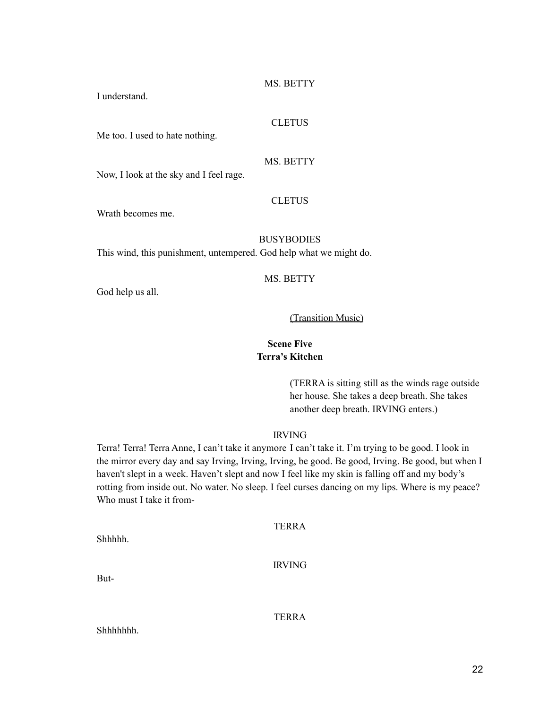MS. BETTY

I understand.

#### **CLETUS**

Me too. I used to hate nothing.

MS. BETTY

Now, I look at the sky and I feel rage.

#### CLETUS

Wrath becomes me.

# **BUSYBODIES**

This wind, this punishment, untempered. God help what we might do.

#### MS. BETTY

God help us all.

# (Transition Music)

# **Scene Five Terra's Kitchen**

(TERRA is sitting still as the winds rage outside her house. She takes a deep breath. She takes another deep breath. IRVING enters.)

#### IRVING

Terra! Terra! Terra Anne, I can't take it anymore I can't take it. I'm trying to be good. I look in the mirror every day and say Irving, Irving, Irving, be good. Be good, Irving. Be good, but when I haven't slept in a week. Haven't slept and now I feel like my skin is falling off and my body's rotting from inside out. No water. No sleep. I feel curses dancing on my lips. Where is my peace? Who must I take it from-

| <b>TERRA</b>  |
|---------------|
| <b>IRVING</b> |
|               |

But-

Shhhhh.

**TERRA** 

Shhhhhhh.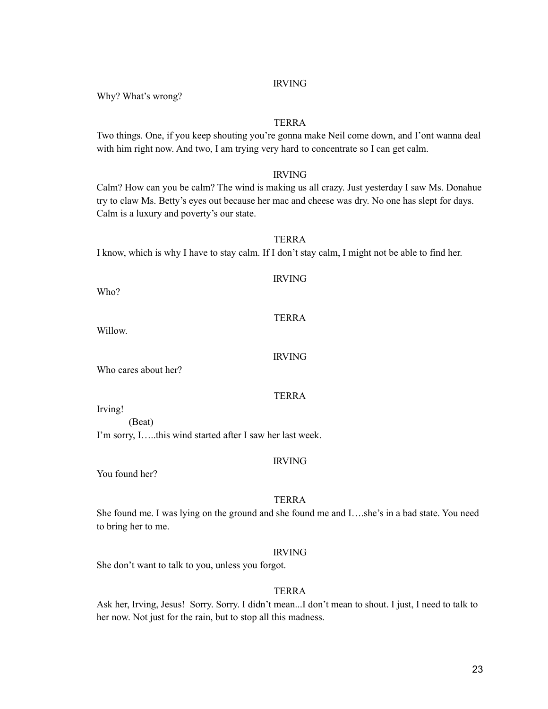Why? What's wrong?

#### TERRA

Two things. One, if you keep shouting you're gonna make Neil come down, and I'ont wanna deal with him right now. And two, I am trying very hard to concentrate so I can get calm.

#### IRVING

Calm? How can you be calm? The wind is making us all crazy. Just yesterday I saw Ms. Donahue try to claw Ms. Betty's eyes out because her mac and cheese was dry. No one has slept for days. Calm is a luxury and poverty's our state.

TERRA

# I know, which is why I have to stay calm. If I don't stay calm, I might not be able to find her.

| Who?                 | <b>IRVING</b> |
|----------------------|---------------|
| Willow.              | <b>TERRA</b>  |
| Who cares about her? | <b>IRVING</b> |
|                      | TERRA         |

Irving!

(Beat)

I'm sorry, I…..this wind started after I saw her last week.

#### IRVING

You found her?

#### TERRA

She found me. I was lying on the ground and she found me and I….she's in a bad state. You need to bring her to me.

#### IRVING

She don't want to talk to you, unless you forgot.

# TERRA

Ask her, Irving, Jesus! Sorry. Sorry. I didn't mean...I don't mean to shout. I just, I need to talk to her now. Not just for the rain, but to stop all this madness.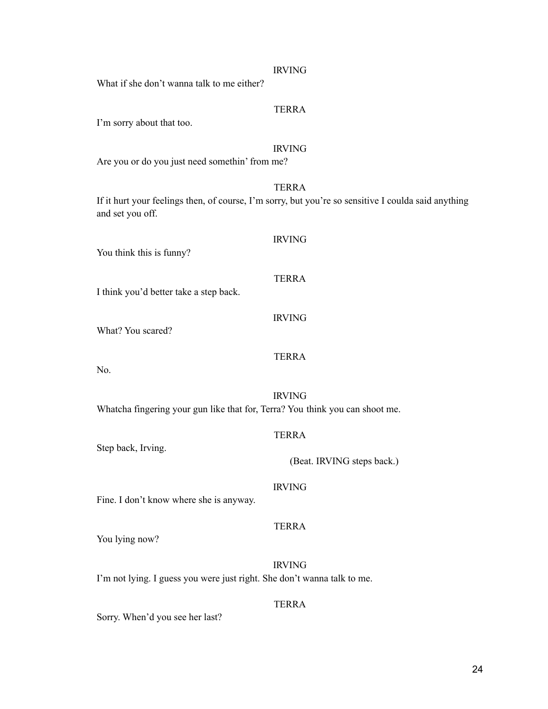| What if she don't wanna talk to me either?                                   | <b>IRVING</b>                                                                                                       |
|------------------------------------------------------------------------------|---------------------------------------------------------------------------------------------------------------------|
| I'm sorry about that too.                                                    | <b>TERRA</b>                                                                                                        |
| Are you or do you just need somethin' from me?                               | <b>IRVING</b>                                                                                                       |
| and set you off.                                                             | <b>TERRA</b><br>If it hurt your feelings then, of course, I'm sorry, but you're so sensitive I coulda said anything |
| You think this is funny?                                                     | <b>IRVING</b>                                                                                                       |
| I think you'd better take a step back.                                       | <b>TERRA</b>                                                                                                        |
| What? You scared?                                                            | <b>IRVING</b>                                                                                                       |
| No.                                                                          | <b>TERRA</b>                                                                                                        |
| Whatcha fingering your gun like that for, Terra? You think you can shoot me. | <b>IRVING</b>                                                                                                       |
|                                                                              | <b>TERRA</b>                                                                                                        |
| Step back, Irving.                                                           | (Beat. IRVING steps back.)                                                                                          |
| Fine. I don't know where she is anyway.                                      | <b>IRVING</b>                                                                                                       |
| You lying now?                                                               | <b>TERRA</b>                                                                                                        |
| I'm not lying. I guess you were just right. She don't wanna talk to me.      | <b>IRVING</b>                                                                                                       |
| Sorry. When'd you see her last?                                              | <b>TERRA</b>                                                                                                        |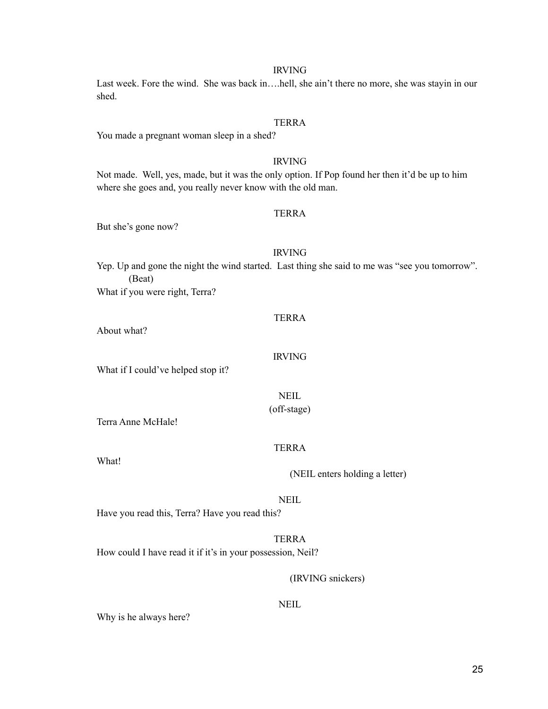25

# IRVING

Last week. Fore the wind. She was back in….hell, she ain't there no more, she was stayin in our shed.

#### TERRA

You made a pregnant woman sleep in a shed?

#### IRVING

Not made. Well, yes, made, but it was the only option. If Pop found her then it'd be up to him where she goes and, you really never know with the old man.

#### TERRA

But she's gone now?

#### IRVING

Yep. Up and gone the night the wind started. Last thing she said to me was "see you tomorrow". (Beat)

What if you were right, Terra?

#### TERRA

IRVING

About what?

What if I could've helped stop it?

NEIL (off-stage)

Terra Anne McHale!

#### TERRA

What!

(NEIL enters holding a letter)

NEIL

TERRA

Have you read this, Terra? Have you read this?

How could I have read it if it's in your possession, Neil?

# (IRVING snickers)

**NEIL** 

Why is he always here?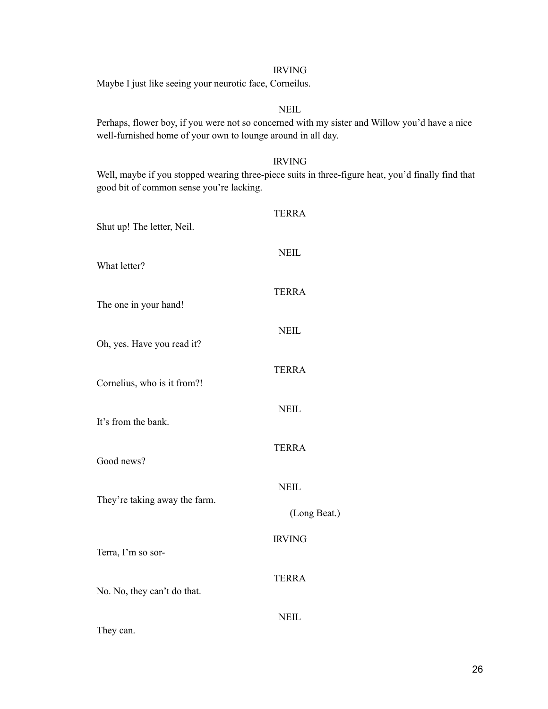Maybe I just like seeing your neurotic face, Corneilus.

# NEIL

Perhaps, flower boy, if you were not so concerned with my sister and Willow you'd have a nice well-furnished home of your own to lounge around in all day.

#### IRVING

Well, maybe if you stopped wearing three-piece suits in three-figure heat, you'd finally find that good bit of common sense you're lacking.

| <b>TERRA</b>  |
|---------------|
| <b>NEIL</b>   |
| <b>TERRA</b>  |
| <b>NEIL</b>   |
| <b>TERRA</b>  |
| <b>NEIL</b>   |
| <b>TERRA</b>  |
| <b>NEIL</b>   |
| (Long Beat.)  |
| <b>IRVING</b> |
| <b>TERRA</b>  |
| <b>NEIL</b>   |
|               |